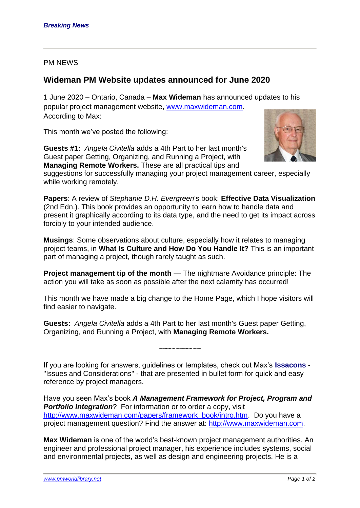## PM NEWS

## **Wideman PM Website updates announced for June 2020**

1 June 2020 – Ontario, Canada – **Max Wideman** has announced updates to his popular project management website, [www.maxwideman.com.](http://www.maxwideman.com/) According to Max:

This month we've posted the following:

**Guests #1:** *Angela Civitella* adds a 4th Part to her last month's Guest paper Getting, Organizing, and Running a Project, with **Managing Remote Workers.** These are all practical tips and



suggestions for successfully managing your project management career, especially while working remotely.

**Papers**: A review of *Stephanie D.H. Evergreen*'s book: **Effective Data Visualization** (2nd Edn.). This book provides an opportunity to learn how to handle data and present it graphically according to its data type, and the need to get its impact across forcibly to your intended audience.

**Musings**: Some observations about culture, especially how it relates to managing project teams, in **What Is Culture and How Do You Handle It?** This is an important part of managing a project, though rarely taught as such.

**Project management tip of the month** — The nightmare Avoidance principle: The action you will take as soon as possible after the next calamity has occurred!

This month we have made a big change to the Home Page, which I hope visitors will find easier to navigate.

**Guests:** *Angela Civitella* adds a 4th Part to her last month's Guest paper Getting, Organizing, and Running a Project, with **Managing Remote Workers.**

If you are looking for answers, guidelines or templates, check out Max's **Issacons** - "Issues and Considerations" - that are presented in bullet form for quick and easy reference by project managers.

~~~~~~~~~~

Have you seen Max's book *A Management Framework for Project, Program and*  **Portfolio Integration**? For information or to order a copy, visit [http://www.maxwideman.com/papers/framework\\_book/intro.htm.](http://www.maxwideman.com/papers/framework_book/intro.htm) Do you have a project management question? Find the answer at: [http://www.maxwideman.com.](http://www.maxwideman.com/)

**Max Wideman** is one of the world's best-known project management authorities. An engineer and professional project manager, his experience includes systems, social and environmental projects, as well as design and engineering projects. He is a